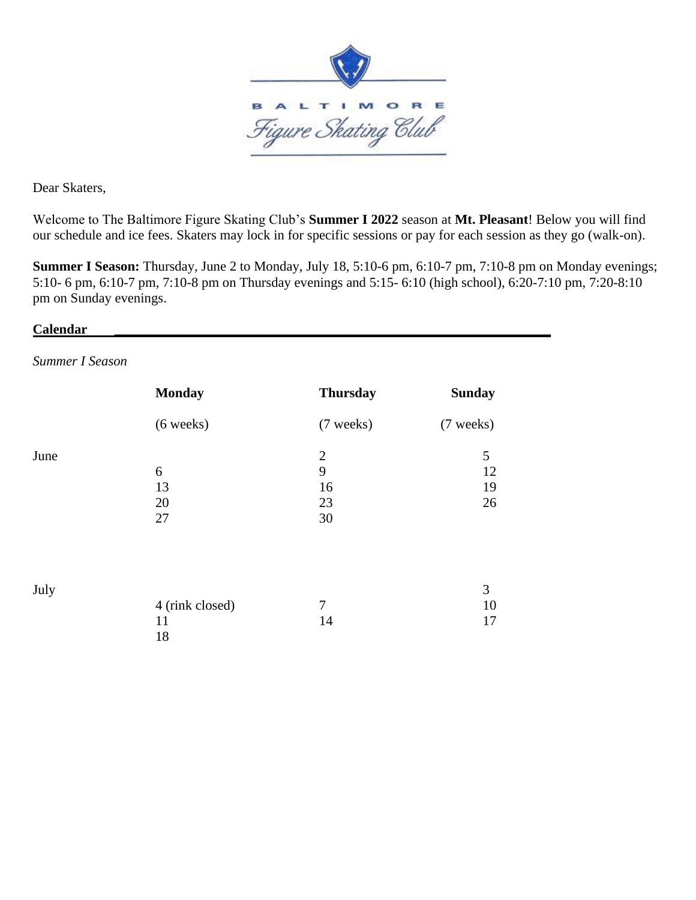

Dear Skaters,

Welcome to The Baltimore Figure Skating Club's **Summer I 2022** season at **Mt. Pleasant**! Below you will find our schedule and ice fees. Skaters may lock in for specific sessions or pay for each session as they go (walk-on).

**Summer I Season:** Thursday, June 2 to Monday, July 18, 5:10-6 pm, 6:10-7 pm, 7:10-8 pm on Monday evenings; 5:10- 6 pm, 6:10-7 pm, 7:10-8 pm on Thursday evenings and 5:15- 6:10 (high school), 6:20-7:10 pm, 7:20-8:10 pm on Sunday evenings.

#### **Calendar \_\_\_\_\_\_\_\_\_\_\_\_\_\_\_\_\_\_\_\_\_\_\_\_\_\_\_\_\_\_\_\_\_\_\_\_\_\_\_\_\_\_\_\_\_\_\_\_\_\_\_\_\_\_\_\_\_\_\_\_\_\_\_\_**

*Summer I Season* 

|      | <b>Monday</b>               | <b>Thursday</b>                     | <b>Sunday</b>              |
|------|-----------------------------|-------------------------------------|----------------------------|
|      | $(6 \text{ weeks})$         | (7 weeks)                           | (7 weeks)                  |
| June | 6<br>13<br>20<br>27         | $\mathbf{2}$<br>9<br>16<br>23<br>30 | 5<br>12<br>19<br>26        |
| July | 4 (rink closed)<br>11<br>18 | 7<br>14                             | $\mathfrak{Z}$<br>10<br>17 |